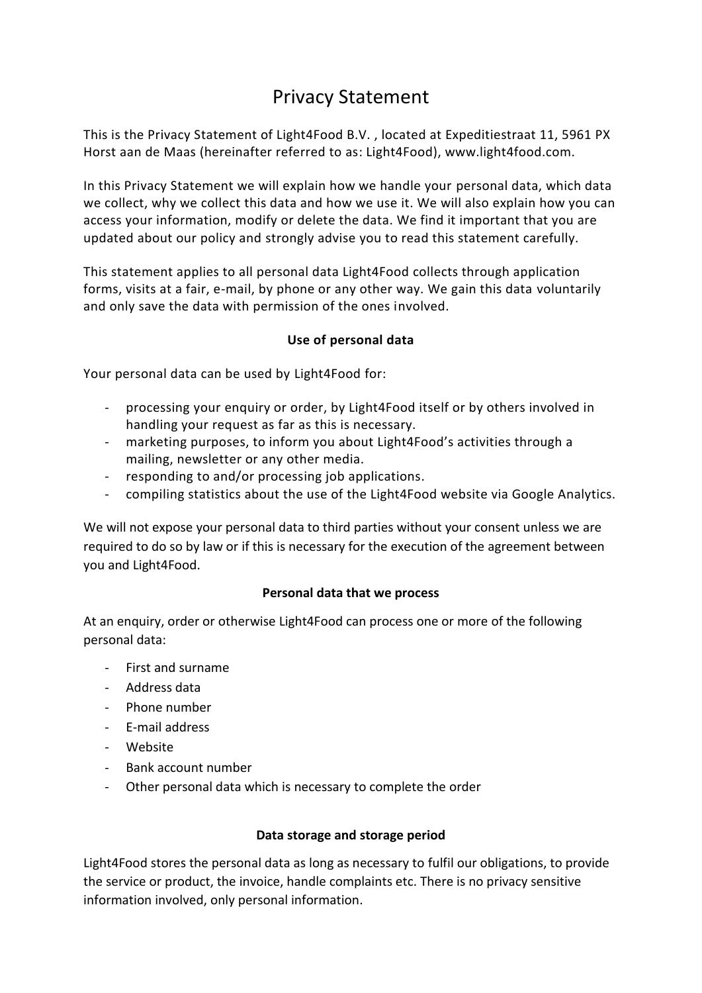# Privacy Statement

This is the Privacy Statement of Light4Food B.V. , located at Expeditiestraat 11, 5961 PX Horst aan de Maas (hereinafter referred to as: Light4Food), www.light4food.com.

In this Privacy Statement we will explain how we handle your personal data, which data we collect, why we collect this data and how we use it. We will also explain how you can access your information, modify or delete the data. We find it important that you are updated about our policy and strongly advise you to read this statement carefully.

This statement applies to all personal data Light4Food collects through application forms, visits at a fair, e-mail, by phone or any other way. We gain this data voluntarily and only save the data with permission of the ones involved.

## **Use of personal data**

Your personal data can be used by Light4Food for:

- processing your enquiry or order, by Light4Food itself or by others involved in handling your request as far as this is necessary.
- marketing purposes, to inform you about Light4Food's activities through a mailing, newsletter or any other media.
- responding to and/or processing job applications.
- compiling statistics about the use of the Light4Food website via Google Analytics.

We will not expose your personal data to third parties without your consent unless we are required to do so by law or if this is necessary for the execution of the agreement between you and Light4Food.

#### **Personal data that we process**

At an enquiry, order or otherwise Light4Food can process one or more of the following personal data:

- First and surname
- Address data
- Phone number
- E-mail address
- Website
- Bank account number
- Other personal data which is necessary to complete the order

#### **Data storage and storage period**

Light4Food stores the personal data as long as necessary to fulfil our obligations, to provide the service or product, the invoice, handle complaints etc. There is no privacy sensitive information involved, only personal information.